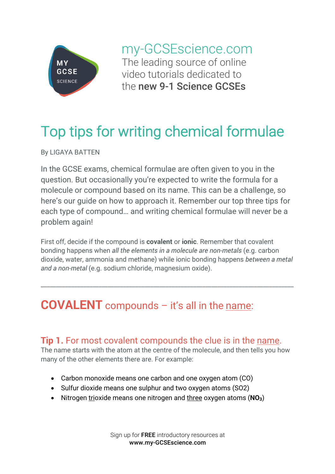

my-GCSEscience.com The leading source of online video tutorials dedicated to the new 9-1 Science GCSEs

# Top tips for writing chemical formulae

By LIGAYA BATTEN

In the GCSE exams, chemical formulae are often given to you in the question. But occasionally you're expected to write the formula for a molecule or compound based on its name. This can be a challenge, so here's our guide on how to approach it. Remember our top three tips for each type of compound… and writing chemical formulae will never be a problem again!

First off, decide if the compound is **covalent** or **ionic**. Remember that covalent bonding happens when *all the elements in a molecule are non-metals* (e.g. carbon dioxide, water, ammonia and methane) while ionic bonding happens *between a metal and a non-metal* (e.g. sodium chloride, magnesium oxide).

\_\_\_\_\_\_\_\_\_\_\_\_\_\_\_\_\_\_\_\_\_\_\_\_\_\_\_\_\_\_\_\_\_\_\_\_\_\_\_\_\_\_\_\_\_\_\_\_\_\_\_\_\_\_\_\_\_\_\_\_\_\_\_\_\_\_\_\_\_\_\_\_\_\_\_\_\_\_\_\_\_\_\_

# **COVALENT** compounds - it's all in the name:

# **Tip 1.** For most covalent compounds the clue is in the name.

The name starts with the atom at the centre of the molecule, and then tells you how many of the other elements there are. For example:

- Carbon monoxide means one carbon and one oxygen atom (CO)
- Sulfur dioxide means one sulphur and two oxygen atoms (SO2)
- Nitrogen trioxide means one nitrogen and three oxygen atoms (**NO3**)

Sign up for FREE introductory resources at www.my-GCSEscience.com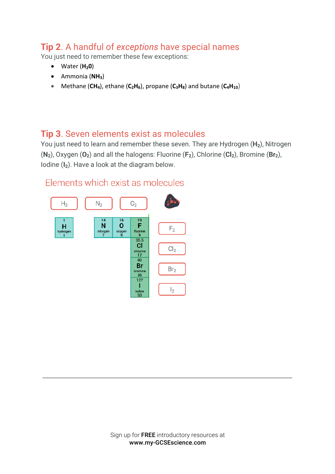### **Tip 2**. A handful of *exceptions* have special names

You just need to remember these few exceptions:

- Water (**H<sub>2</sub>0**)
- Ammonia (**NH3**)
- Methane  $(CH_4)$ , ethane  $(C_2H_6)$ , propane  $(C_3H_8)$  and butane  $(C_4H_{10})$

#### **Tip 3**. Seven elements exist as molecules

You just need to learn and remember these seven. They are Hydrogen (**H2**), Nitrogen (**N2**), Oxygen (**O2**) and all the halogens: Fluorine (**F2**), Chlorine (**Cl2**), Bromine (**Br2**), Iodine (**I2**). Have a look at the diagram below.



#### Flements which exist as molecules

\_\_\_\_\_\_\_\_\_\_\_\_\_\_\_\_\_\_\_\_\_\_\_\_\_\_\_\_\_\_\_\_\_\_\_\_\_\_\_\_\_\_\_\_\_\_\_\_\_\_\_\_\_\_\_\_\_\_\_\_\_\_\_\_\_\_\_\_\_\_\_\_\_\_\_\_\_\_\_\_\_\_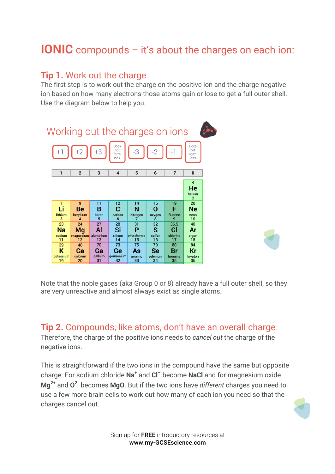# **IONIC** compounds – it's about the charges on each ion:

### **Tip 1.** Work out the charge

The first step is to work out the charge on the positive ion and the charge negative ion based on how many electrons those atoms gain or lose to get a full outer shell. Use the diagram below to help you.



Note that the noble gases (aka Group 0 or 8) already have a full outer shell, so they are very unreactive and almost always exist as single atoms.

#### **Tip 2.** Compounds, like atoms, don't have an overall charge

Therefore, the charge of the positive ions needs to *cancel out* the charge of the negative ions.

This is straightforward if the two ions in the compound have the same but opposite charge. For sodium chloride **Na<sup>+</sup>** and **Cl–** become **NaCl** and for magnesium oxide **Mg2+** and **O2-** becomes **MgO**. But if the two ions have *different* charges you need to use a few more brain cells to work out how many of each ion you need so that the charges cancel out.



Sign up for FREE introductory resources at www.my-GCSEscience.com